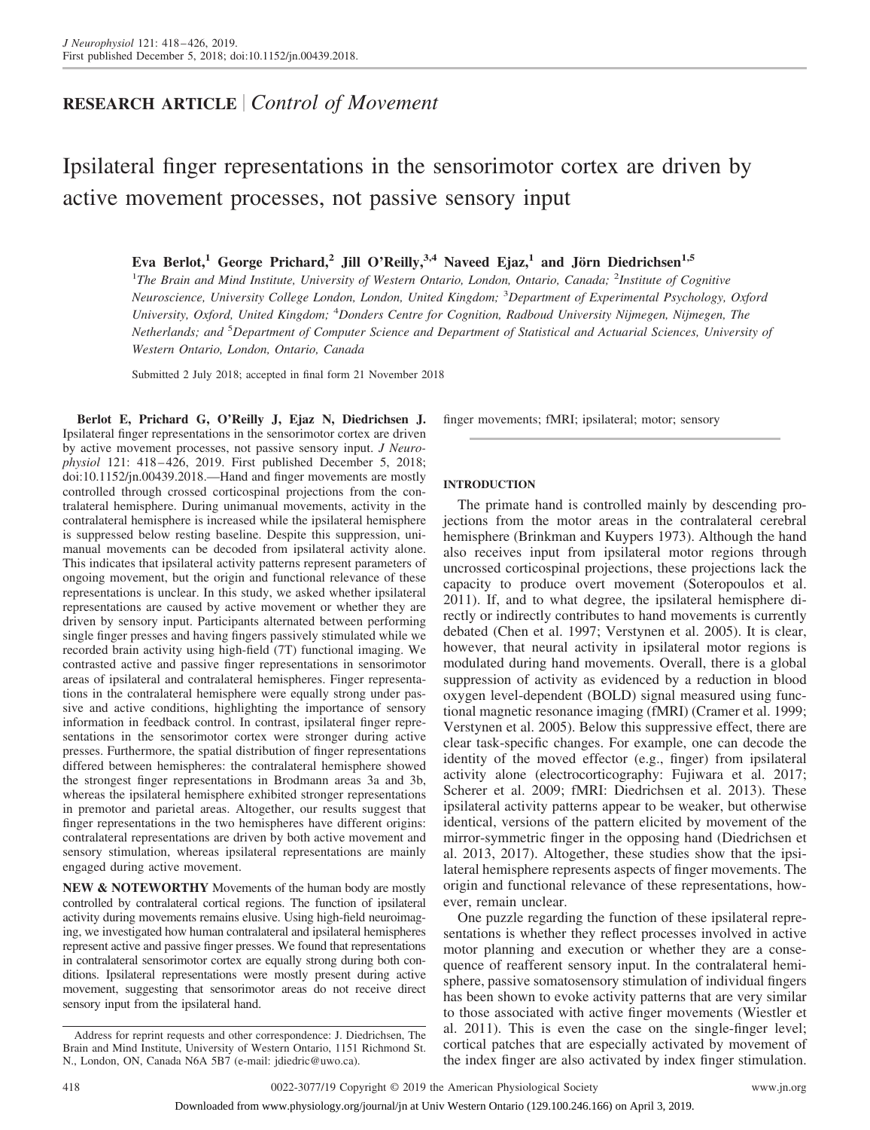# **RESEARCH ARTICLE** *Control of Movement*

# Ipsilateral finger representations in the sensorimotor cortex are driven by active movement processes, not passive sensory input

**Eva Berlot,<sup>1</sup> George Prichard,<sup>2</sup> Jill O'Reilly,3,4 Naveed Ejaz,<sup>1</sup> and Jörn Diedrichsen1,5**

<sup>1</sup>The Brain and Mind Institute, University of Western Ontario, London, Ontario, Canada; <sup>2</sup>Institute of Cognitive *Neuroscience, University College London, London, United Kingdom;* <sup>3</sup> *Department of Experimental Psychology, Oxford University, Oxford, United Kingdom;* <sup>4</sup> *Donders Centre for Cognition, Radboud University Nijmegen, Nijmegen, The Netherlands; and* <sup>5</sup> *Department of Computer Science and Department of Statistical and Actuarial Sciences, University of Western Ontario, London, Ontario, Canada*

Submitted 2 July 2018; accepted in final form 21 November 2018

**Berlot E, Prichard G, O'Reilly J, Ejaz N, Diedrichsen J.** Ipsilateral finger representations in the sensorimotor cortex are driven by active movement processes, not passive sensory input. *J Neurophysiol* 121: 418 – 426, 2019. First published December 5, 2018; doi[:10.1152/jn.00439.2018.](http://doi.org/10.1152/jn.00439.2018)—Hand and finger movements are mostly controlled through crossed corticospinal projections from the contralateral hemisphere. During unimanual movements, activity in the contralateral hemisphere is increased while the ipsilateral hemisphere is suppressed below resting baseline. Despite this suppression, unimanual movements can be decoded from ipsilateral activity alone. This indicates that ipsilateral activity patterns represent parameters of ongoing movement, but the origin and functional relevance of these representations is unclear. In this study, we asked whether ipsilateral representations are caused by active movement or whether they are driven by sensory input. Participants alternated between performing single finger presses and having fingers passively stimulated while we recorded brain activity using high-field (7T) functional imaging. We contrasted active and passive finger representations in sensorimotor areas of ipsilateral and contralateral hemispheres. Finger representations in the contralateral hemisphere were equally strong under passive and active conditions, highlighting the importance of sensory information in feedback control. In contrast, ipsilateral finger representations in the sensorimotor cortex were stronger during active presses. Furthermore, the spatial distribution of finger representations differed between hemispheres: the contralateral hemisphere showed the strongest finger representations in Brodmann areas 3a and 3b, whereas the ipsilateral hemisphere exhibited stronger representations in premotor and parietal areas. Altogether, our results suggest that finger representations in the two hemispheres have different origins: contralateral representations are driven by both active movement and sensory stimulation, whereas ipsilateral representations are mainly engaged during active movement.

**NEW & NOTEWORTHY** Movements of the human body are mostly controlled by contralateral cortical regions. The function of ipsilateral activity during movements remains elusive. Using high-field neuroimaging, we investigated how human contralateral and ipsilateral hemispheres represent active and passive finger presses. We found that representations in contralateral sensorimotor cortex are equally strong during both conditions. Ipsilateral representations were mostly present during active movement, suggesting that sensorimotor areas do not receive direct sensory input from the ipsilateral hand.

finger movements; fMRI; ipsilateral; motor; sensory

## **INTRODUCTION**

The primate hand is controlled mainly by descending projections from the motor areas in the contralateral cerebral hemisphere (Brinkman and Kuypers 1973). Although the hand also receives input from ipsilateral motor regions through uncrossed corticospinal projections, these projections lack the capacity to produce overt movement (Soteropoulos et al. 2011). If, and to what degree, the ipsilateral hemisphere directly or indirectly contributes to hand movements is currently debated (Chen et al. 1997; Verstynen et al. 2005). It is clear, however, that neural activity in ipsilateral motor regions is modulated during hand movements. Overall, there is a global suppression of activity as evidenced by a reduction in blood oxygen level-dependent (BOLD) signal measured using functional magnetic resonance imaging (fMRI) (Cramer et al. 1999; Verstynen et al. 2005). Below this suppressive effect, there are clear task-specific changes. For example, one can decode the identity of the moved effector (e.g., finger) from ipsilateral activity alone (electrocorticography: Fujiwara et al. 2017; Scherer et al. 2009; fMRI: Diedrichsen et al. 2013). These ipsilateral activity patterns appear to be weaker, but otherwise identical, versions of the pattern elicited by movement of the mirror-symmetric finger in the opposing hand (Diedrichsen et al. 2013, 2017). Altogether, these studies show that the ipsilateral hemisphere represents aspects of finger movements. The origin and functional relevance of these representations, however, remain unclear.

One puzzle regarding the function of these ipsilateral representations is whether they reflect processes involved in active motor planning and execution or whether they are a consequence of reafferent sensory input. In the contralateral hemisphere, passive somatosensory stimulation of individual fingers has been shown to evoke activity patterns that are very similar to those associated with active finger movements (Wiestler et al. 2011). This is even the case on the single-finger level; cortical patches that are especially activated by movement of the index finger are also activated by index finger stimulation.

Address for reprint requests and other correspondence: J. Diedrichsen, The Brain and Mind Institute, University of Western Ontario, 1151 Richmond St. N., London, ON, Canada N6A 5B7 (e-mail: [jdiedric@uwo.ca\)](mailto:jdiedric@uwo.ca).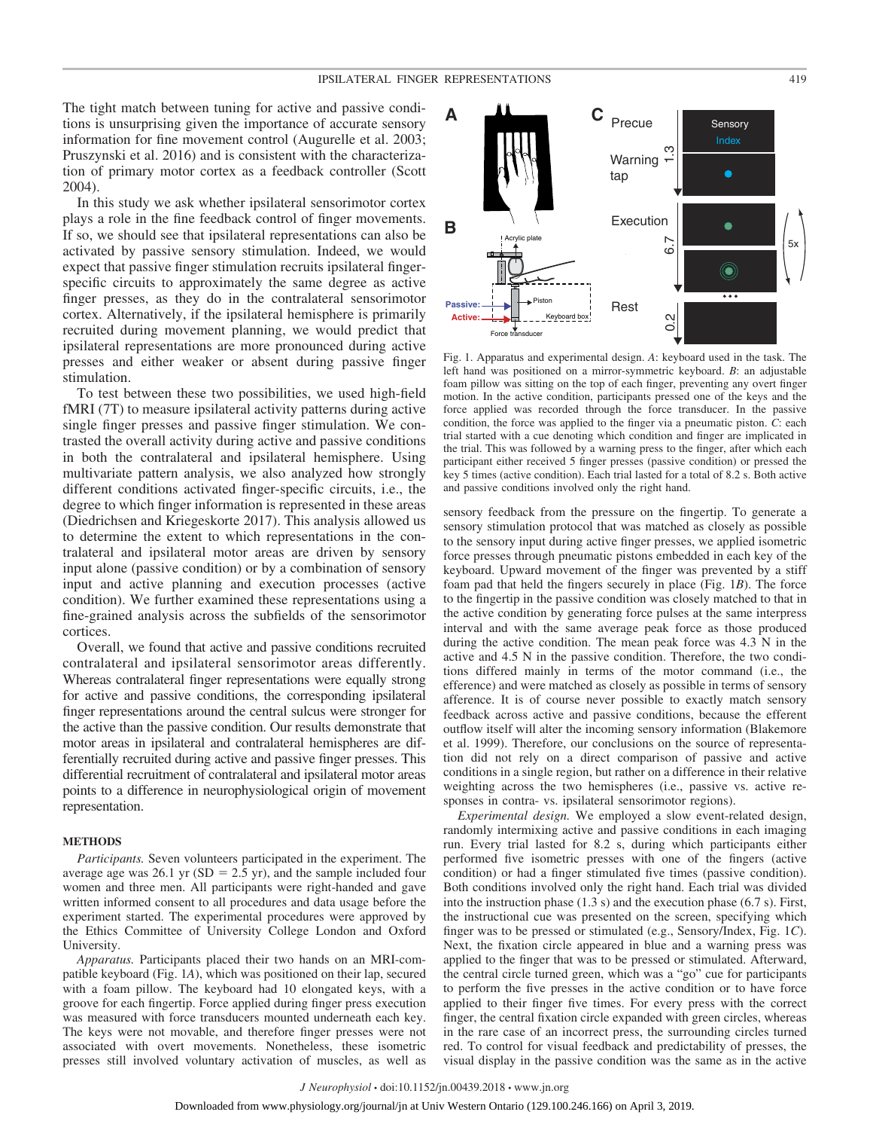The tight match between tuning for active and passive conditions is unsurprising given the importance of accurate sensory information for fine movement control (Augurelle et al. 2003; Pruszynski et al. 2016) and is consistent with the characterization of primary motor cortex as a feedback controller (Scott 2004).

In this study we ask whether ipsilateral sensorimotor cortex plays a role in the fine feedback control of finger movements. If so, we should see that ipsilateral representations can also be activated by passive sensory stimulation. Indeed, we would expect that passive finger stimulation recruits ipsilateral fingerspecific circuits to approximately the same degree as active finger presses, as they do in the contralateral sensorimotor cortex. Alternatively, if the ipsilateral hemisphere is primarily recruited during movement planning, we would predict that ipsilateral representations are more pronounced during active presses and either weaker or absent during passive finger stimulation.

To test between these two possibilities, we used high-field fMRI (7T) to measure ipsilateral activity patterns during active single finger presses and passive finger stimulation. We contrasted the overall activity during active and passive conditions in both the contralateral and ipsilateral hemisphere. Using multivariate pattern analysis, we also analyzed how strongly different conditions activated finger-specific circuits, i.e., the degree to which finger information is represented in these areas (Diedrichsen and Kriegeskorte 2017). This analysis allowed us to determine the extent to which representations in the contralateral and ipsilateral motor areas are driven by sensory input alone (passive condition) or by a combination of sensory input and active planning and execution processes (active condition). We further examined these representations using a fine-grained analysis across the subfields of the sensorimotor cortices.

Overall, we found that active and passive conditions recruited contralateral and ipsilateral sensorimotor areas differently. Whereas contralateral finger representations were equally strong for active and passive conditions, the corresponding ipsilateral finger representations around the central sulcus were stronger for the active than the passive condition. Our results demonstrate that motor areas in ipsilateral and contralateral hemispheres are differentially recruited during active and passive finger presses. This differential recruitment of contralateral and ipsilateral motor areas points to a difference in neurophysiological origin of movement representation.

#### **METHODS**

*Participants.* Seven volunteers participated in the experiment. The average age was  $26.1$  yr (SD =  $2.5$  yr), and the sample included four women and three men. All participants were right-handed and gave written informed consent to all procedures and data usage before the experiment started. The experimental procedures were approved by the Ethics Committee of University College London and Oxford University.

*Apparatus.* Participants placed their two hands on an MRI-compatible keyboard (Fig. 1*A*), which was positioned on their lap, secured with a foam pillow. The keyboard had 10 elongated keys, with a groove for each fingertip. Force applied during finger press execution was measured with force transducers mounted underneath each key. The keys were not movable, and therefore finger presses were not associated with overt movements. Nonetheless, these isometric presses still involved voluntary activation of muscles, as well as



Fig. 1. Apparatus and experimental design. *A*: keyboard used in the task. The left hand was positioned on a mirror-symmetric keyboard. *B*: an adjustable foam pillow was sitting on the top of each finger, preventing any overt finger motion. In the active condition, participants pressed one of the keys and the force applied was recorded through the force transducer. In the passive condition, the force was applied to the finger via a pneumatic piston. *C*: each trial started with a cue denoting which condition and finger are implicated in the trial. This was followed by a warning press to the finger, after which each participant either received 5 finger presses (passive condition) or pressed the key 5 times (active condition). Each trial lasted for a total of 8.2 s. Both active and passive conditions involved only the right hand.

sensory feedback from the pressure on the fingertip. To generate a sensory stimulation protocol that was matched as closely as possible to the sensory input during active finger presses, we applied isometric force presses through pneumatic pistons embedded in each key of the keyboard. Upward movement of the finger was prevented by a stiff foam pad that held the fingers securely in place (Fig. 1*B*). The force to the fingertip in the passive condition was closely matched to that in the active condition by generating force pulses at the same interpress interval and with the same average peak force as those produced during the active condition. The mean peak force was 4.3 N in the active and 4.5 N in the passive condition. Therefore, the two conditions differed mainly in terms of the motor command (i.e., the efference) and were matched as closely as possible in terms of sensory afference. It is of course never possible to exactly match sensory feedback across active and passive conditions, because the efferent outflow itself will alter the incoming sensory information (Blakemore et al. 1999). Therefore, our conclusions on the source of representation did not rely on a direct comparison of passive and active conditions in a single region, but rather on a difference in their relative weighting across the two hemispheres (i.e., passive vs. active responses in contra- vs. ipsilateral sensorimotor regions).

*Experimental design.* We employed a slow event-related design, randomly intermixing active and passive conditions in each imaging run. Every trial lasted for 8.2 s, during which participants either performed five isometric presses with one of the fingers (active condition) or had a finger stimulated five times (passive condition). Both conditions involved only the right hand. Each trial was divided into the instruction phase (1.3 s) and the execution phase (6.7 s). First, the instructional cue was presented on the screen, specifying which finger was to be pressed or stimulated (e.g., Sensory/Index, Fig. 1*C*). Next, the fixation circle appeared in blue and a warning press was applied to the finger that was to be pressed or stimulated. Afterward, the central circle turned green, which was a "go" cue for participants to perform the five presses in the active condition or to have force applied to their finger five times. For every press with the correct finger, the central fixation circle expanded with green circles, whereas in the rare case of an incorrect press, the surrounding circles turned red. To control for visual feedback and predictability of presses, the visual display in the passive condition was the same as in the active

*J Neurophysiol* • doi:10.1152/jn.00439.2018 • www.jn.org Downloaded from www.physiology.org/journal/jn at Univ Western Ontario (129.100.246.166) on April 3, 2019.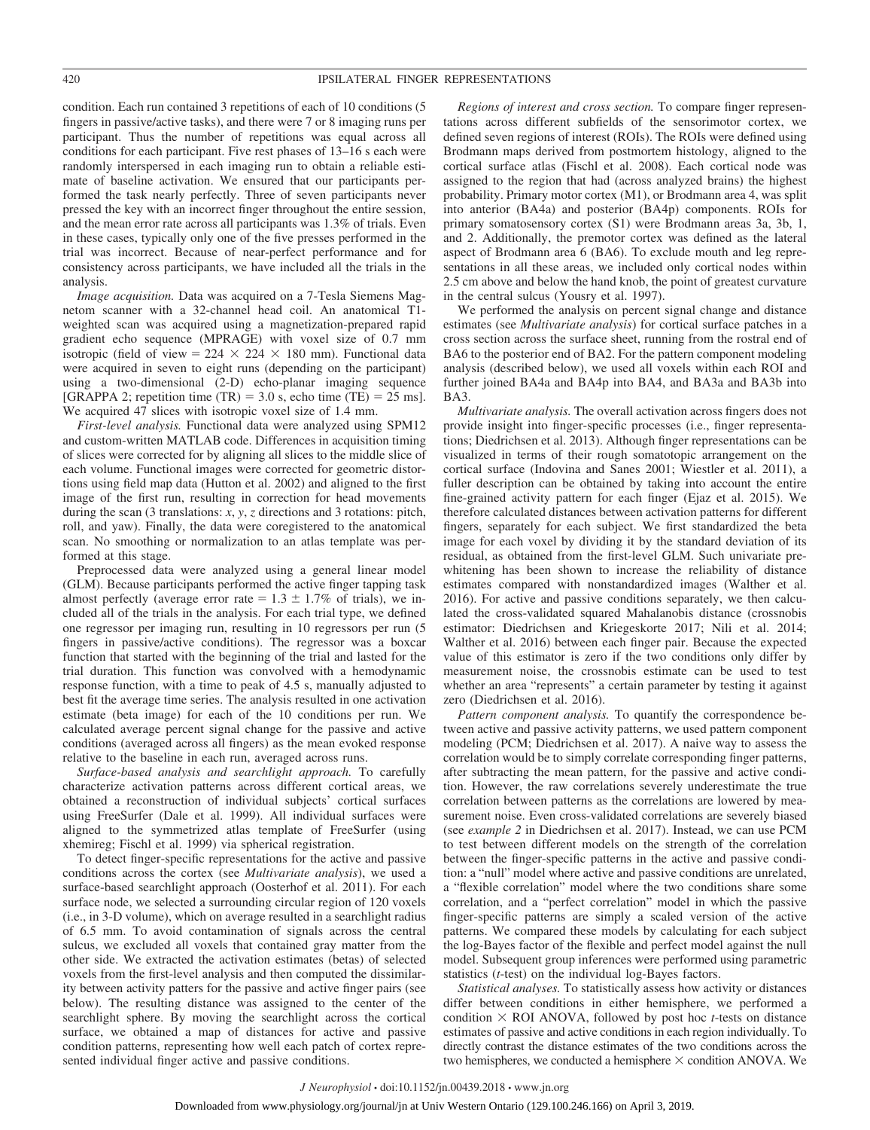condition. Each run contained 3 repetitions of each of 10 conditions (5 fingers in passive/active tasks), and there were 7 or 8 imaging runs per participant. Thus the number of repetitions was equal across all conditions for each participant. Five rest phases of 13–16 s each were randomly interspersed in each imaging run to obtain a reliable estimate of baseline activation. We ensured that our participants performed the task nearly perfectly. Three of seven participants never pressed the key with an incorrect finger throughout the entire session, and the mean error rate across all participants was 1.3% of trials. Even in these cases, typically only one of the five presses performed in the trial was incorrect. Because of near-perfect performance and for consistency across participants, we have included all the trials in the analysis.

*Image acquisition.* Data was acquired on a 7-Tesla Siemens Magnetom scanner with a 32-channel head coil. An anatomical T1 weighted scan was acquired using a magnetization-prepared rapid gradient echo sequence (MPRAGE) with voxel size of 0.7 mm isotropic (field of view =  $224 \times 224 \times 180$  mm). Functional data were acquired in seven to eight runs (depending on the participant) using a two-dimensional (2-D) echo-planar imaging sequence [GRAPPA 2; repetition time  $(TR) = 3.0$  s, echo time  $(TE) = 25$  ms]. We acquired 47 slices with isotropic voxel size of 1.4 mm.

*First-level analysis.* Functional data were analyzed using SPM12 and custom-written MATLAB code. Differences in acquisition timing of slices were corrected for by aligning all slices to the middle slice of each volume. Functional images were corrected for geometric distortions using field map data (Hutton et al. 2002) and aligned to the first image of the first run, resulting in correction for head movements during the scan (3 translations: *x*, *y*, *z* directions and 3 rotations: pitch, roll, and yaw). Finally, the data were coregistered to the anatomical scan. No smoothing or normalization to an atlas template was performed at this stage.

Preprocessed data were analyzed using a general linear model (GLM). Because participants performed the active finger tapping task almost perfectly (average error rate =  $1.3 \pm 1.7\%$  of trials), we included all of the trials in the analysis. For each trial type, we defined one regressor per imaging run, resulting in 10 regressors per run (5 fingers in passive/active conditions). The regressor was a boxcar function that started with the beginning of the trial and lasted for the trial duration. This function was convolved with a hemodynamic response function, with a time to peak of 4.5 s, manually adjusted to best fit the average time series. The analysis resulted in one activation estimate (beta image) for each of the 10 conditions per run. We calculated average percent signal change for the passive and active conditions (averaged across all fingers) as the mean evoked response relative to the baseline in each run, averaged across runs.

*Surface-based analysis and searchlight approach.* To carefully characterize activation patterns across different cortical areas, we obtained a reconstruction of individual subjects' cortical surfaces using FreeSurfer (Dale et al. 1999). All individual surfaces were aligned to the symmetrized atlas template of FreeSurfer (using xhemireg; Fischl et al. 1999) via spherical registration.

To detect finger-specific representations for the active and passive conditions across the cortex (see *Multivariate analysis*), we used a surface-based searchlight approach (Oosterhof et al. 2011). For each surface node, we selected a surrounding circular region of 120 voxels (i.e., in 3-D volume), which on average resulted in a searchlight radius of 6.5 mm. To avoid contamination of signals across the central sulcus, we excluded all voxels that contained gray matter from the other side. We extracted the activation estimates (betas) of selected voxels from the first-level analysis and then computed the dissimilarity between activity patters for the passive and active finger pairs (see below). The resulting distance was assigned to the center of the searchlight sphere. By moving the searchlight across the cortical surface, we obtained a map of distances for active and passive condition patterns, representing how well each patch of cortex represented individual finger active and passive conditions.

*Regions of interest and cross section.* To compare finger representations across different subfields of the sensorimotor cortex, we defined seven regions of interest (ROIs). The ROIs were defined using Brodmann maps derived from postmortem histology, aligned to the cortical surface atlas (Fischl et al. 2008). Each cortical node was assigned to the region that had (across analyzed brains) the highest probability. Primary motor cortex (M1), or Brodmann area 4, was split into anterior (BA4a) and posterior (BA4p) components. ROIs for primary somatosensory cortex (S1) were Brodmann areas 3a, 3b, 1, and 2. Additionally, the premotor cortex was defined as the lateral aspect of Brodmann area 6 (BA6). To exclude mouth and leg representations in all these areas, we included only cortical nodes within 2.5 cm above and below the hand knob, the point of greatest curvature in the central sulcus (Yousry et al. 1997).

We performed the analysis on percent signal change and distance estimates (see *Multivariate analysis*) for cortical surface patches in a cross section across the surface sheet, running from the rostral end of BA6 to the posterior end of BA2. For the pattern component modeling analysis (described below), we used all voxels within each ROI and further joined BA4a and BA4p into BA4, and BA3a and BA3b into BA3.

*Multivariate analysis.* The overall activation across fingers does not provide insight into finger-specific processes (i.e., finger representations; Diedrichsen et al. 2013). Although finger representations can be visualized in terms of their rough somatotopic arrangement on the cortical surface (Indovina and Sanes 2001; Wiestler et al. 2011), a fuller description can be obtained by taking into account the entire fine-grained activity pattern for each finger (Ejaz et al. 2015). We therefore calculated distances between activation patterns for different fingers, separately for each subject. We first standardized the beta image for each voxel by dividing it by the standard deviation of its residual, as obtained from the first-level GLM. Such univariate prewhitening has been shown to increase the reliability of distance estimates compared with nonstandardized images (Walther et al. 2016). For active and passive conditions separately, we then calculated the cross-validated squared Mahalanobis distance (crossnobis estimator: Diedrichsen and Kriegeskorte 2017; Nili et al. 2014; Walther et al. 2016) between each finger pair. Because the expected value of this estimator is zero if the two conditions only differ by measurement noise, the crossnobis estimate can be used to test whether an area "represents" a certain parameter by testing it against zero (Diedrichsen et al. 2016).

*Pattern component analysis.* To quantify the correspondence between active and passive activity patterns, we used pattern component modeling (PCM; Diedrichsen et al. 2017). A naive way to assess the correlation would be to simply correlate corresponding finger patterns, after subtracting the mean pattern, for the passive and active condition. However, the raw correlations severely underestimate the true correlation between patterns as the correlations are lowered by measurement noise. Even cross-validated correlations are severely biased (see *example 2* in Diedrichsen et al. 2017). Instead, we can use PCM to test between different models on the strength of the correlation between the finger-specific patterns in the active and passive condition: a "null" model where active and passive conditions are unrelated, a "flexible correlation" model where the two conditions share some correlation, and a "perfect correlation" model in which the passive finger-specific patterns are simply a scaled version of the active patterns. We compared these models by calculating for each subject the log-Bayes factor of the flexible and perfect model against the null model. Subsequent group inferences were performed using parametric statistics (*t*-test) on the individual log-Bayes factors.

*Statistical analyses.* To statistically assess how activity or distances differ between conditions in either hemisphere, we performed a condition  $\times$  ROI ANOVA, followed by post hoc *t*-tests on distance estimates of passive and active conditions in each region individually. To directly contrast the distance estimates of the two conditions across the two hemispheres, we conducted a hemisphere  $\times$  condition ANOVA. We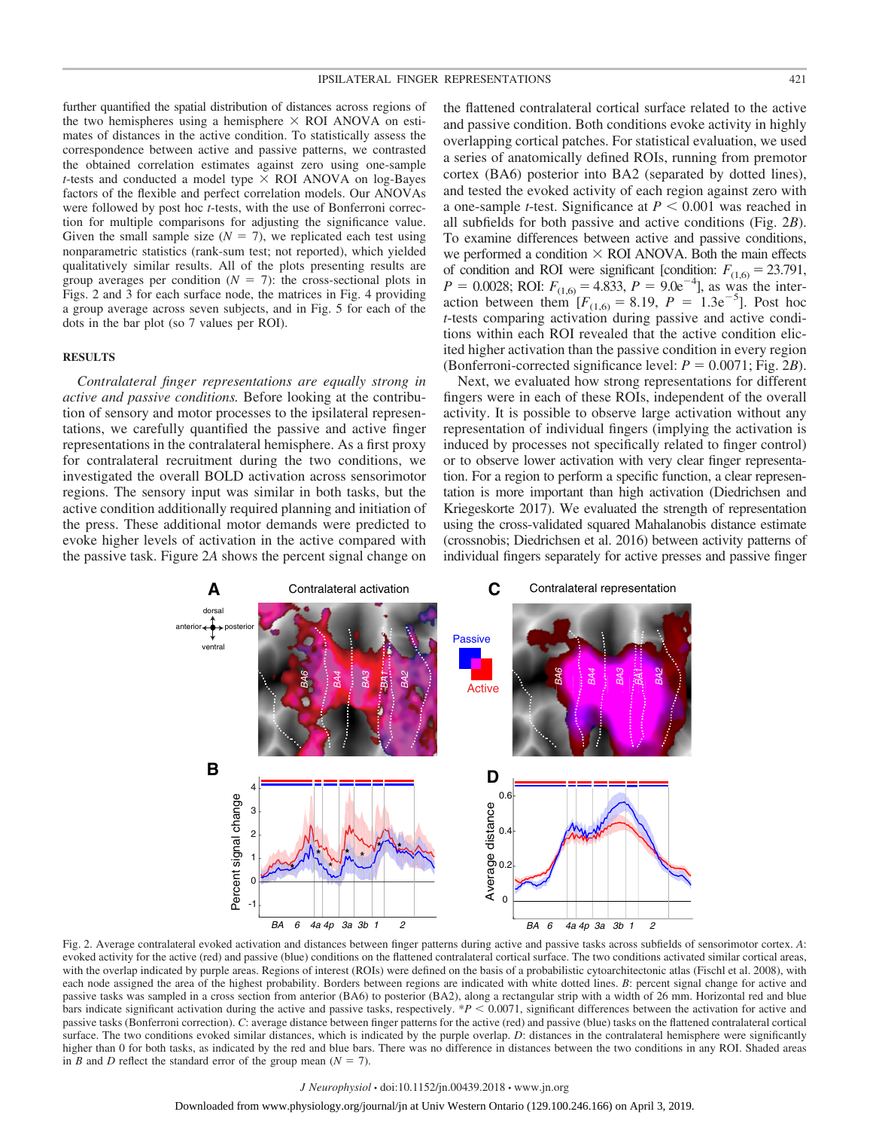further quantified the spatial distribution of distances across regions of the two hemispheres using a hemisphere  $\times$  ROI ANOVA on estimates of distances in the active condition. To statistically assess the correspondence between active and passive patterns, we contrasted the obtained correlation estimates against zero using one-sample *t*-tests and conducted a model type  $\times$  ROI ANOVA on log-Bayes factors of the flexible and perfect correlation models. Our ANOVAs were followed by post hoc *t*-tests, with the use of Bonferroni correction for multiple comparisons for adjusting the significance value. Given the small sample size  $(N = 7)$ , we replicated each test using nonparametric statistics (rank-sum test; not reported), which yielded qualitatively similar results. All of the plots presenting results are group averages per condition  $(N = 7)$ : the cross-sectional plots in Figs. 2 and 3 for each surface node, the matrices in Fig. 4 providing a group average across seven subjects, and in Fig. 5 for each of the dots in the bar plot (so 7 values per ROI).

# **RESULTS**

*Contralateral finger representations are equally strong in active and passive conditions.* Before looking at the contribution of sensory and motor processes to the ipsilateral representations, we carefully quantified the passive and active finger representations in the contralateral hemisphere. As a first proxy for contralateral recruitment during the two conditions, we investigated the overall BOLD activation across sensorimotor regions. The sensory input was similar in both tasks, but the active condition additionally required planning and initiation of the press. These additional motor demands were predicted to evoke higher levels of activation in the active compared with the passive task. Figure 2*A* shows the percent signal change on

the flattened contralateral cortical surface related to the active and passive condition. Both conditions evoke activity in highly overlapping cortical patches. For statistical evaluation, we used a series of anatomically defined ROIs, running from premotor cortex (BA6) posterior into BA2 (separated by dotted lines), and tested the evoked activity of each region against zero with a one-sample *t*-test. Significance at  $P \leq 0.001$  was reached in all subfields for both passive and active conditions (Fig. 2*B*). To examine differences between active and passive conditions, we performed a condition  $\times$  ROI ANOVA. Both the main effects of condition and ROI were significant [condition:  $F_{(1,6)} = 23.791$ ,  $P = 0.0028$ ; ROI:  $F_{(1,6)} = 4.833$ ,  $P = 9.0e^{-4}$ ], as was the interaction between them  $[F_{(1,6)} = 8.19, P = 1.3e^{-5}]$ . Post hoc *t*-tests comparing activation during passive and active conditions within each ROI revealed that the active condition elicited higher activation than the passive condition in every region (Bonferroni-corrected significance level:  $P = 0.0071$ ; Fig. 2*B*).

Next, we evaluated how strong representations for different fingers were in each of these ROIs, independent of the overall activity. It is possible to observe large activation without any representation of individual fingers (implying the activation is induced by processes not specifically related to finger control) or to observe lower activation with very clear finger representation. For a region to perform a specific function, a clear representation is more important than high activation (Diedrichsen and Kriegeskorte 2017). We evaluated the strength of representation using the cross-validated squared Mahalanobis distance estimate (crossnobis; Diedrichsen et al. 2016) between activity patterns of individual fingers separately for active presses and passive finger



Fig. 2. Average contralateral evoked activation and distances between finger patterns during active and passive tasks across subfields of sensorimotor cortex. *A*: evoked activity for the active (red) and passive (blue) conditions on the flattened contralateral cortical surface. The two conditions activated similar cortical areas, with the overlap indicated by purple areas. Regions of interest (ROIs) were defined on the basis of a probabilistic cytoarchitectonic atlas (Fischl et al. 2008), with each node assigned the area of the highest probability. Borders between regions are indicated with white dotted lines. *B*: percent signal change for active and passive tasks was sampled in a cross section from anterior (BA6) to posterior (BA2), along a rectangular strip with a width of 26 mm. Horizontal red and blue bars indicate significant activation during the active and passive tasks, respectively.  $*P < 0.0071$ , significant differences between the activation for active and passive tasks (Bonferroni correction). *C*: average distance between finger patterns for the active (red) and passive (blue) tasks on the flattened contralateral cortical surface. The two conditions evoked similar distances, which is indicated by the purple overlap. *D*: distances in the contralateral hemisphere were significantly higher than 0 for both tasks, as indicated by the red and blue bars. There was no difference in distances between the two conditions in any ROI. Shaded areas in *B* and *D* reflect the standard error of the group mean  $(N = 7)$ .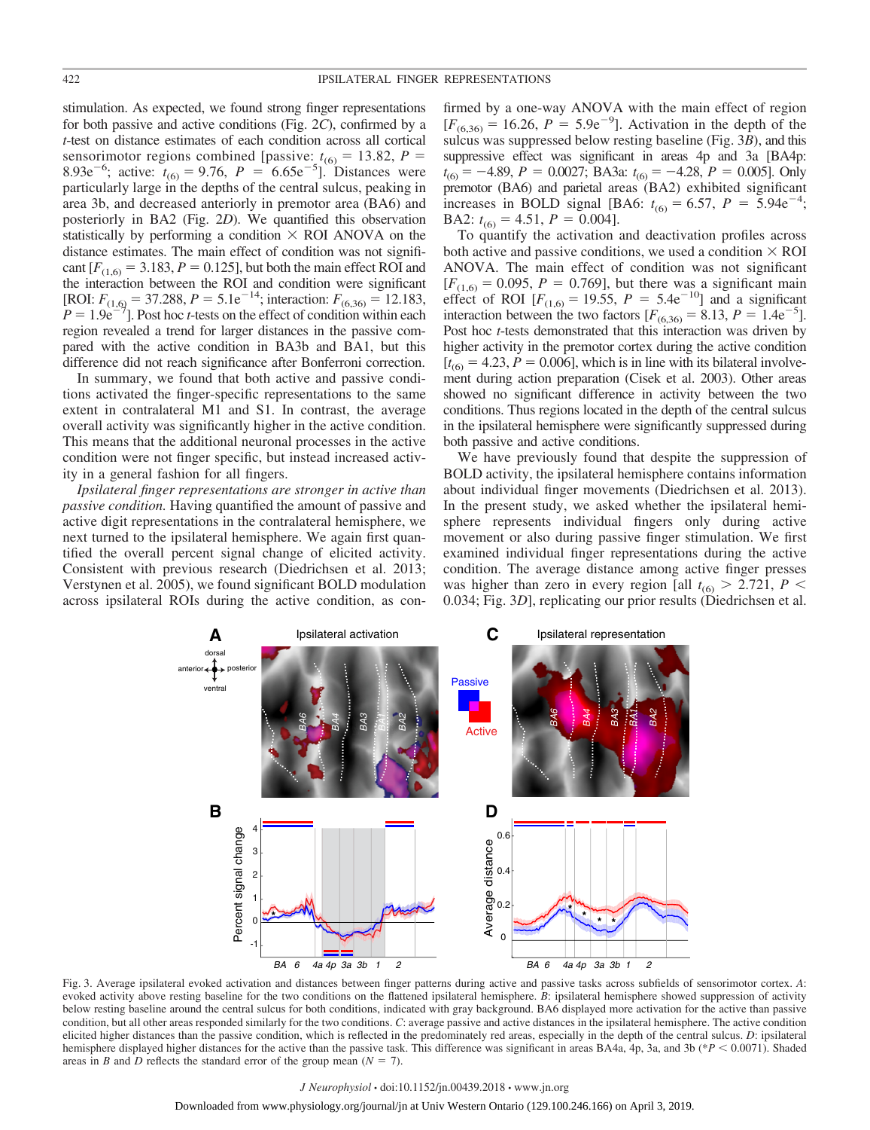stimulation. As expected, we found strong finger representations for both passive and active conditions (Fig. 2*C*), confirmed by a *t*-test on distance estimates of each condition across all cortical sensorimotor regions combined [passive:  $t_{(6)} = 13.82$ ,  $P = 8.93e^{-6}$ ; active:  $t_{(6)} = 9.76$ ,  $P = 6.65e^{-5}$ ]. Distances were particularly large in the depths of the central sulcus, peaking in area 3b, and decreased anteriorly in premotor area (BA6) and posteriorly in BA2 (Fig. 2*D*). We quantified this observation statistically by performing a condition  $\times$  ROI ANOVA on the distance estimates. The main effect of condition was not significant  $[F_{(1,6)} = 3.183, P = 0.125]$ , but both the main effect ROI and the interaction between the ROI and condition were significant [ROI:  $F_{(1,6)} = 37.288$ ,  $P = 5.1e^{-14}$ ; interaction:  $F_{(6,36)} = 12.183$ ,  $P = 1.9e^{-7}$ ]. Post hoc *t*-tests on the effect of condition within each region revealed a trend for larger distances in the passive compared with the active condition in BA3b and BA1, but this difference did not reach significance after Bonferroni correction.

In summary, we found that both active and passive conditions activated the finger-specific representations to the same extent in contralateral M1 and S1. In contrast, the average overall activity was significantly higher in the active condition. This means that the additional neuronal processes in the active condition were not finger specific, but instead increased activity in a general fashion for all fingers.

*Ipsilateral finger representations are stronger in active than passive condition.* Having quantified the amount of passive and active digit representations in the contralateral hemisphere, we next turned to the ipsilateral hemisphere. We again first quantified the overall percent signal change of elicited activity. Consistent with previous research (Diedrichsen et al. 2013; Verstynen et al. 2005), we found significant BOLD modulation across ipsilateral ROIs during the active condition, as con-

firmed by a one-way ANOVA with the main effect of region  $[F_{(6,36)} = 16.26, P = 5.9e^{-9}]$ . Activation in the depth of the sulcus was suppressed below resting baseline (Fig. 3*B*), and this suppressive effect was significant in areas 4p and 3a [BA4p:  $t_{(6)} = -4.89$ ,  $P = 0.0027$ ; BA3a:  $t_{(6)} = -4.28$ ,  $P = 0.005$ ]. Only premotor (BA6) and parietal areas (BA2) exhibited significant increases in BOLD signal [BA6:  $t_{(6)} = 6.57$ ,  $P = 5.94e^{-4}$ ; BA2:  $t_{(6)} = 4.51$ ,  $P = 0.004$ ].

To quantify the activation and deactivation profiles across both active and passive conditions, we used a condition  $\times$  ROI ANOVA. The main effect of condition was not significant  $[F(1,6) = 0.095, P = 0.769]$ , but there was a significant main effect of ROI  $[F_{(1,6)} = 19.55, P = 5.4e^{-10}]$  and a significant interaction between the two factors  $[F_{(6,36)} = 8.13, P = 1.4e^{-5}]$ . Post hoc *t*-tests demonstrated that this interaction was driven by higher activity in the premotor cortex during the active condition  $[t<sub>(6)</sub> = 4.23, P = 0.006]$ , which is in line with its bilateral involvement during action preparation (Cisek et al. 2003). Other areas showed no significant difference in activity between the two conditions. Thus regions located in the depth of the central sulcus in the ipsilateral hemisphere were significantly suppressed during both passive and active conditions.

We have previously found that despite the suppression of BOLD activity, the ipsilateral hemisphere contains information about individual finger movements (Diedrichsen et al. 2013). In the present study, we asked whether the ipsilateral hemisphere represents individual fingers only during active movement or also during passive finger stimulation. We first examined individual finger representations during the active condition. The average distance among active finger presses was higher than zero in every region [all  $t_{(6)} > 2.721$ ,  $P <$ 0.034; Fig. 3*D*], replicating our prior results (Diedrichsen et al.



Fig. 3. Average ipsilateral evoked activation and distances between finger patterns during active and passive tasks across subfields of sensorimotor cortex. *A*: evoked activity above resting baseline for the two conditions on the flattened ipsilateral hemisphere. *B*: ipsilateral hemisphere showed suppression of activity below resting baseline around the central sulcus for both conditions, indicated with gray background. BA6 displayed more activation for the active than passive condition, but all other areas responded similarly for the two conditions. *C*: average passive and active distances in the ipsilateral hemisphere. The active condition elicited higher distances than the passive condition, which is reflected in the predominately red areas, especially in the depth of the central sulcus. *D*: ipsilateral hemisphere displayed higher distances for the active than the passive task. This difference was significant in areas BA4a, 4p, 3a, and 3b (\**P* < 0.0071). Shaded areas in *B* and *D* reflects the standard error of the group mean  $(N = 7)$ .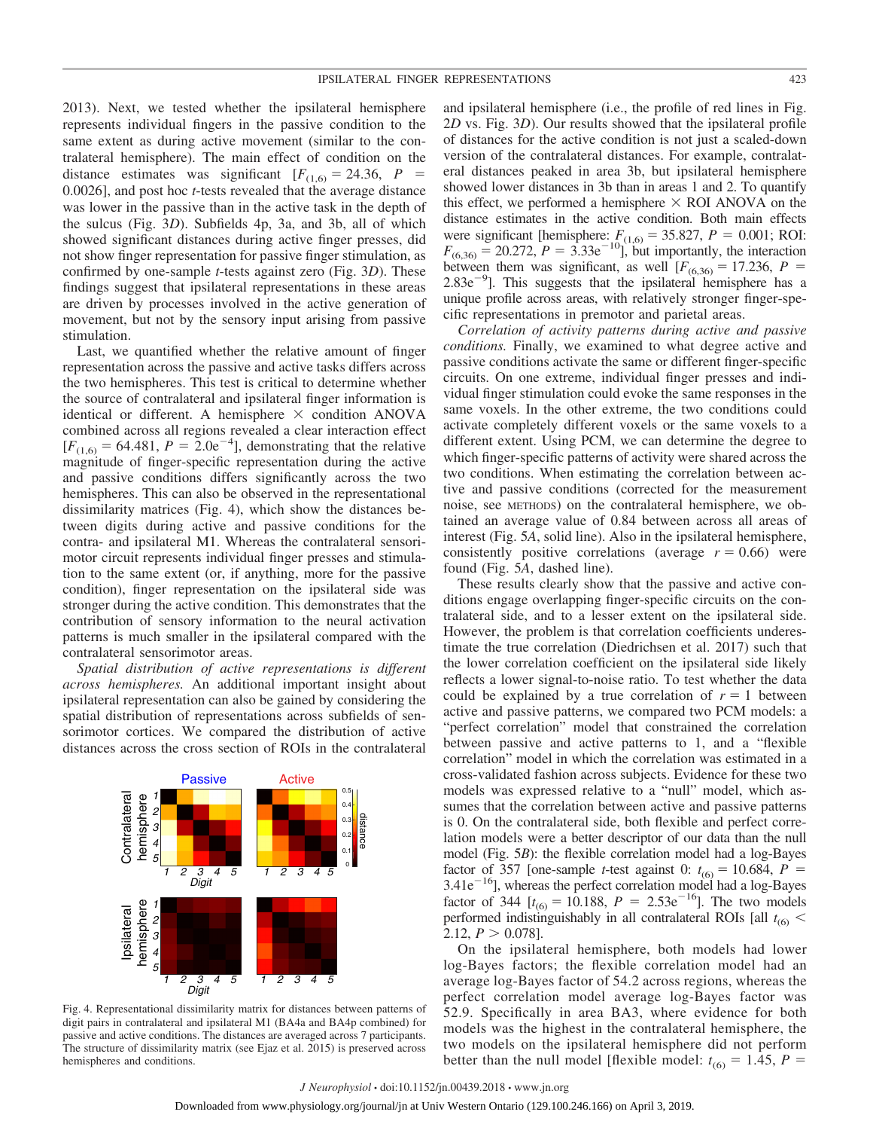2013). Next, we tested whether the ipsilateral hemisphere represents individual fingers in the passive condition to the same extent as during active movement (similar to the contralateral hemisphere). The main effect of condition on the distance estimates was significant  $[F_{(1,6)} = 24.36, P =$ 0.0026], and post hoc *t*-tests revealed that the average distance was lower in the passive than in the active task in the depth of the sulcus (Fig. 3*D*). Subfields 4p, 3a, and 3b, all of which showed significant distances during active finger presses, did not show finger representation for passive finger stimulation, as confirmed by one-sample *t*-tests against zero (Fig. 3*D*). These findings suggest that ipsilateral representations in these areas are driven by processes involved in the active generation of movement, but not by the sensory input arising from passive stimulation.

Last, we quantified whether the relative amount of finger representation across the passive and active tasks differs across the two hemispheres. This test is critical to determine whether the source of contralateral and ipsilateral finger information is identical or different. A hemisphere  $\times$  condition ANOVA combined across all regions revealed a clear interaction effect  $[F_{(1,6)} = 64.481, P = 2.0e^{-4}]$ , demonstrating that the relative magnitude of finger-specific representation during the active and passive conditions differs significantly across the two hemispheres. This can also be observed in the representational dissimilarity matrices (Fig. 4), which show the distances between digits during active and passive conditions for the contra- and ipsilateral M1. Whereas the contralateral sensorimotor circuit represents individual finger presses and stimulation to the same extent (or, if anything, more for the passive condition), finger representation on the ipsilateral side was stronger during the active condition. This demonstrates that the contribution of sensory information to the neural activation patterns is much smaller in the ipsilateral compared with the contralateral sensorimotor areas.

*Spatial distribution of active representations is different across hemispheres.* An additional important insight about ipsilateral representation can also be gained by considering the spatial distribution of representations across subfields of sensorimotor cortices. We compared the distribution of active distances across the cross section of ROIs in the contralateral



Fig. 4. Representational dissimilarity matrix for distances between patterns of digit pairs in contralateral and ipsilateral M1 (BA4a and BA4p combined) for passive and active conditions. The distances are averaged across 7 participants. The structure of dissimilarity matrix (see Ejaz et al. 2015) is preserved across hemispheres and conditions.

and ipsilateral hemisphere (i.e., the profile of red lines in Fig. 2*D* vs. Fig. 3*D*). Our results showed that the ipsilateral profile of distances for the active condition is not just a scaled-down version of the contralateral distances. For example, contralateral distances peaked in area 3b, but ipsilateral hemisphere showed lower distances in 3b than in areas 1 and 2. To quantify this effect, we performed a hemisphere  $\times$  ROI ANOVA on the distance estimates in the active condition. Both main effects were significant [hemisphere:  $F_{(1,6)} = 35.827$ ,  $P = 0.001$ ; ROI:  $F_{(6,36)} = 20.272$ ,  $P = 3.33e^{-10}$ , but importantly, the interaction between them was significant, as well  $[F_{(6,36)} = 17.236, P =$  $2.83e^{-9}$ ]. This suggests that the ipsilateral hemisphere has a unique profile across areas, with relatively stronger finger-specific representations in premotor and parietal areas.

*Correlation of activity patterns during active and passive conditions.* Finally, we examined to what degree active and passive conditions activate the same or different finger-specific circuits. On one extreme, individual finger presses and individual finger stimulation could evoke the same responses in the same voxels. In the other extreme, the two conditions could activate completely different voxels or the same voxels to a different extent. Using PCM, we can determine the degree to which finger-specific patterns of activity were shared across the two conditions. When estimating the correlation between active and passive conditions (corrected for the measurement noise, see METHODS) on the contralateral hemisphere, we obtained an average value of 0.84 between across all areas of interest (Fig. 5*A*, solid line). Also in the ipsilateral hemisphere, consistently positive correlations (average  $r = 0.66$ ) were found (Fig. 5*A*, dashed line).

These results clearly show that the passive and active conditions engage overlapping finger-specific circuits on the contralateral side, and to a lesser extent on the ipsilateral side. However, the problem is that correlation coefficients underestimate the true correlation (Diedrichsen et al. 2017) such that the lower correlation coefficient on the ipsilateral side likely reflects a lower signal-to-noise ratio. To test whether the data could be explained by a true correlation of  $r = 1$  between active and passive patterns, we compared two PCM models: a "perfect correlation" model that constrained the correlation between passive and active patterns to 1, and a "flexible correlation" model in which the correlation was estimated in a cross-validated fashion across subjects. Evidence for these two models was expressed relative to a "null" model, which assumes that the correlation between active and passive patterns is 0. On the contralateral side, both flexible and perfect correlation models were a better descriptor of our data than the null model (Fig. 5*B*): the flexible correlation model had a log-Bayes factor of 357 [one-sample *t*-test against 0:  $t_{(6)} = 10.684$ ,  $P = 3.41e^{-16}$ ], whereas the perfect correlation model had a log-Bayes factor of 344  $[t_{(6)} = 10.188, P = 2.53e^{-16}]$ . The two models performed indistinguishably in all contralateral ROIs [all  $t_{(6)}$  < 2.12,  $P > 0.078$ ].

On the ipsilateral hemisphere, both models had lower log-Bayes factors; the flexible correlation model had an average log-Bayes factor of 54.2 across regions, whereas the perfect correlation model average log-Bayes factor was 52.9. Specifically in area BA3, where evidence for both models was the highest in the contralateral hemisphere, the two models on the ipsilateral hemisphere did not perform better than the null model [flexible model:  $t_{(6)} = 1.45$ ,  $P =$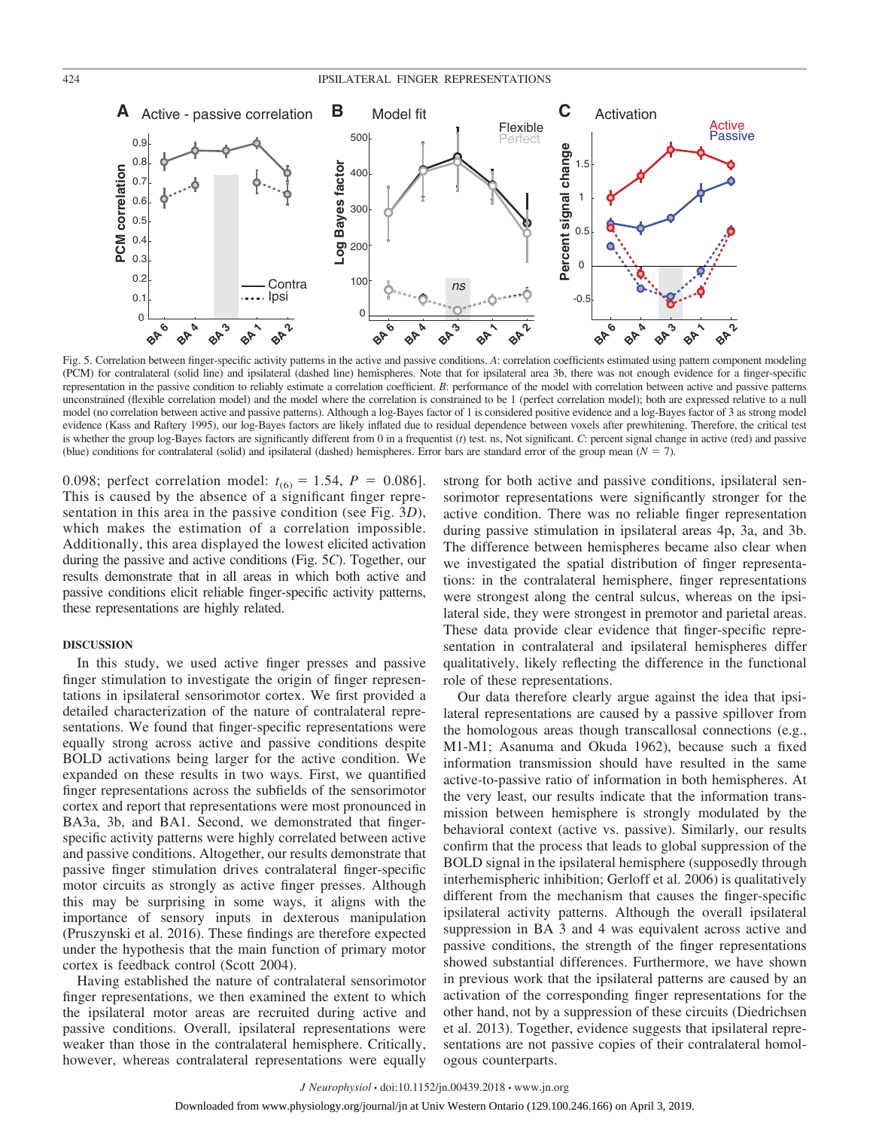

Fig. 5. Correlation between finger-specific activity patterns in the active and passive conditions. *A*: correlation coefficients estimated using pattern component modeling (PCM) for contralateral (solid line) and ipsilateral (dashed line) hemispheres. Note that for ipsilateral area 3b, there was not enough evidence for a finger-specific representation in the passive condition to reliably estimate a correlation coefficient. *B*: performance of the model with correlation between active and passive patterns unconstrained (flexible correlation model) and the model where the correlation is constrained to be 1 (perfect correlation model); both are expressed relative to a null model (no correlation between active and passive patterns). Although a log-Bayes factor of 1 is considered positive evidence and a log-Bayes factor of 3 as strong model evidence (Kass and Raftery 1995), our log-Bayes factors are likely inflated due to residual dependence between voxels after prewhitening. Therefore, the critical test is whether the group log-Bayes factors are significantly different from 0 in a frequentist (*t*) test. ns, Not significant. *C*: percent signal change in active (red) and passive (blue) conditions for contralateral (solid) and ipsilateral (dashed) hemispheres. Error bars are standard error of the group mean  $(N = 7)$ .

0.098; perfect correlation model:  $t_{(6)} = 1.54$ ,  $P = 0.086$ ]. This is caused by the absence of a significant finger representation in this area in the passive condition (see Fig. 3*D*), which makes the estimation of a correlation impossible. Additionally, this area displayed the lowest elicited activation during the passive and active conditions (Fig. 5*C*). Together, our results demonstrate that in all areas in which both active and passive conditions elicit reliable finger-specific activity patterns, these representations are highly related.

# **DISCUSSION**

In this study, we used active finger presses and passive finger stimulation to investigate the origin of finger representations in ipsilateral sensorimotor cortex. We first provided a detailed characterization of the nature of contralateral representations. We found that finger-specific representations were equally strong across active and passive conditions despite BOLD activations being larger for the active condition. We expanded on these results in two ways. First, we quantified finger representations across the subfields of the sensorimotor cortex and report that representations were most pronounced in BA3a, 3b, and BA1. Second, we demonstrated that fingerspecific activity patterns were highly correlated between active and passive conditions. Altogether, our results demonstrate that passive finger stimulation drives contralateral finger-specific motor circuits as strongly as active finger presses. Although this may be surprising in some ways, it aligns with the importance of sensory inputs in dexterous manipulation (Pruszynski et al. 2016). These findings are therefore expected under the hypothesis that the main function of primary motor cortex is feedback control (Scott 2004).

Having established the nature of contralateral sensorimotor finger representations, we then examined the extent to which the ipsilateral motor areas are recruited during active and passive conditions. Overall, ipsilateral representations were weaker than those in the contralateral hemisphere. Critically, however, whereas contralateral representations were equally strong for both active and passive conditions, ipsilateral sensorimotor representations were significantly stronger for the active condition. There was no reliable finger representation during passive stimulation in ipsilateral areas 4p, 3a, and 3b. The difference between hemispheres became also clear when we investigated the spatial distribution of finger representations: in the contralateral hemisphere, finger representations were strongest along the central sulcus, whereas on the ipsilateral side, they were strongest in premotor and parietal areas. These data provide clear evidence that finger-specific representation in contralateral and ipsilateral hemispheres differ qualitatively, likely reflecting the difference in the functional role of these representations.

Our data therefore clearly argue against the idea that ipsilateral representations are caused by a passive spillover from the homologous areas though transcallosal connections (e.g., M1-M1; Asanuma and Okuda 1962), because such a fixed information transmission should have resulted in the same active-to-passive ratio of information in both hemispheres. At the very least, our results indicate that the information transmission between hemisphere is strongly modulated by the behavioral context (active vs. passive). Similarly, our results confirm that the process that leads to global suppression of the BOLD signal in the ipsilateral hemisphere (supposedly through interhemispheric inhibition; Gerloff et al. 2006) is qualitatively different from the mechanism that causes the finger-specific ipsilateral activity patterns. Although the overall ipsilateral suppression in BA 3 and 4 was equivalent across active and passive conditions, the strength of the finger representations showed substantial differences. Furthermore, we have shown in previous work that the ipsilateral patterns are caused by an activation of the corresponding finger representations for the other hand, not by a suppression of these circuits (Diedrichsen et al. 2013). Together, evidence suggests that ipsilateral representations are not passive copies of their contralateral homologous counterparts.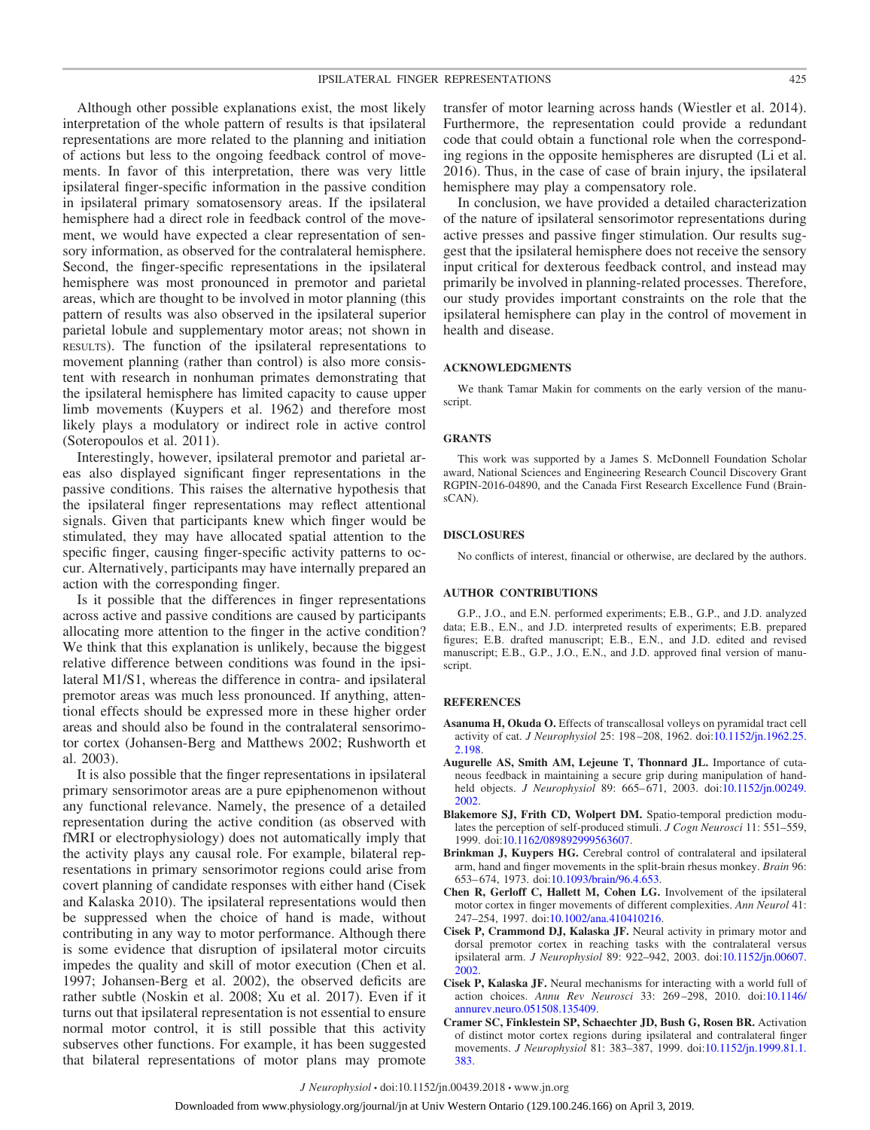Although other possible explanations exist, the most likely interpretation of the whole pattern of results is that ipsilateral representations are more related to the planning and initiation of actions but less to the ongoing feedback control of movements. In favor of this interpretation, there was very little ipsilateral finger-specific information in the passive condition in ipsilateral primary somatosensory areas. If the ipsilateral hemisphere had a direct role in feedback control of the movement, we would have expected a clear representation of sensory information, as observed for the contralateral hemisphere. Second, the finger-specific representations in the ipsilateral hemisphere was most pronounced in premotor and parietal areas, which are thought to be involved in motor planning (this pattern of results was also observed in the ipsilateral superior parietal lobule and supplementary motor areas; not shown in RESULTS). The function of the ipsilateral representations to movement planning (rather than control) is also more consistent with research in nonhuman primates demonstrating that the ipsilateral hemisphere has limited capacity to cause upper limb movements (Kuypers et al. 1962) and therefore most likely plays a modulatory or indirect role in active control (Soteropoulos et al. 2011).

Interestingly, however, ipsilateral premotor and parietal areas also displayed significant finger representations in the passive conditions. This raises the alternative hypothesis that the ipsilateral finger representations may reflect attentional signals. Given that participants knew which finger would be stimulated, they may have allocated spatial attention to the specific finger, causing finger-specific activity patterns to occur. Alternatively, participants may have internally prepared an action with the corresponding finger.

Is it possible that the differences in finger representations across active and passive conditions are caused by participants allocating more attention to the finger in the active condition? We think that this explanation is unlikely, because the biggest relative difference between conditions was found in the ipsilateral M1/S1, whereas the difference in contra- and ipsilateral premotor areas was much less pronounced. If anything, attentional effects should be expressed more in these higher order areas and should also be found in the contralateral sensorimotor cortex (Johansen-Berg and Matthews 2002; Rushworth et al. 2003).

It is also possible that the finger representations in ipsilateral primary sensorimotor areas are a pure epiphenomenon without any functional relevance. Namely, the presence of a detailed representation during the active condition (as observed with fMRI or electrophysiology) does not automatically imply that the activity plays any causal role. For example, bilateral representations in primary sensorimotor regions could arise from covert planning of candidate responses with either hand (Cisek and Kalaska 2010). The ipsilateral representations would then be suppressed when the choice of hand is made, without contributing in any way to motor performance. Although there is some evidence that disruption of ipsilateral motor circuits impedes the quality and skill of motor execution (Chen et al. 1997; Johansen-Berg et al. 2002), the observed deficits are rather subtle (Noskin et al. 2008; Xu et al. 2017). Even if it turns out that ipsilateral representation is not essential to ensure normal motor control, it is still possible that this activity subserves other functions. For example, it has been suggested that bilateral representations of motor plans may promote transfer of motor learning across hands (Wiestler et al. 2014). Furthermore, the representation could provide a redundant code that could obtain a functional role when the corresponding regions in the opposite hemispheres are disrupted (Li et al. 2016). Thus, in the case of case of brain injury, the ipsilateral hemisphere may play a compensatory role.

In conclusion, we have provided a detailed characterization of the nature of ipsilateral sensorimotor representations during active presses and passive finger stimulation. Our results suggest that the ipsilateral hemisphere does not receive the sensory input critical for dexterous feedback control, and instead may primarily be involved in planning-related processes. Therefore, our study provides important constraints on the role that the ipsilateral hemisphere can play in the control of movement in health and disease.

#### **ACKNOWLEDGMENTS**

We thank Tamar Makin for comments on the early version of the manuscript.

#### **GRANTS**

This work was supported by a James S. McDonnell Foundation Scholar award, National Sciences and Engineering Research Council Discovery Grant RGPIN-2016-04890, and the Canada First Research Excellence Fund (BrainsCAN).

#### **DISCLOSURES**

No conflicts of interest, financial or otherwise, are declared by the authors.

### **AUTHOR CONTRIBUTIONS**

G.P., J.O., and E.N. performed experiments; E.B., G.P., and J.D. analyzed data; E.B., E.N., and J.D. interpreted results of experiments; E.B. prepared figures; E.B. drafted manuscript; E.B., E.N., and J.D. edited and revised manuscript; E.B., G.P., J.O., E.N., and J.D. approved final version of manuscript.

#### **REFERENCES**

- **Asanuma H, Okuda O.** Effects of transcallosal volleys on pyramidal tract cell activity of cat. *J Neurophysiol* 25: 198 –208, 1962. doi[:10.1152/jn.1962.25.](https://doi.org/10.1152/jn.1962.25.2.198) [2.198.](https://doi.org/10.1152/jn.1962.25.2.198)
- **Augurelle AS, Smith AM, Lejeune T, Thonnard JL.** Importance of cutaneous feedback in maintaining a secure grip during manipulation of handheld objects. *J Neurophysiol* 89: 665-671, 2003. doi[:10.1152/jn.00249.](https://doi.org/10.1152/jn.00249.2002) [2002.](https://doi.org/10.1152/jn.00249.2002)
- **Blakemore SJ, Frith CD, Wolpert DM.** Spatio-temporal prediction modulates the perception of self-produced stimuli. *J Cogn Neurosci* 11: 551–559, 1999. doi[:10.1162/089892999563607.](https://doi.org/10.1162/089892999563607)
- **Brinkman J, Kuypers HG.** Cerebral control of contralateral and ipsilateral arm, hand and finger movements in the split-brain rhesus monkey. *Brain* 96: 653– 674, 1973. doi[:10.1093/brain/96.4.653.](https://doi.org/10.1093/brain/96.4.653)
- **Chen R, Gerloff C, Hallett M, Cohen LG.** Involvement of the ipsilateral motor cortex in finger movements of different complexities. *Ann Neurol* 41: 247–254, 1997. doi[:10.1002/ana.410410216.](https://doi.org/10.1002/ana.410410216)
- **Cisek P, Crammond DJ, Kalaska JF.** Neural activity in primary motor and dorsal premotor cortex in reaching tasks with the contralateral versus ipsilateral arm. *J Neurophysiol* 89: 922–942, 2003. doi[:10.1152/jn.00607.](https://doi.org/10.1152/jn.00607.2002) [2002.](https://doi.org/10.1152/jn.00607.2002)
- **Cisek P, Kalaska JF.** Neural mechanisms for interacting with a world full of action choices. *Annu Rev Neurosci* 33: 269 –298, 2010. doi[:10.1146/](https://doi.org/10.1146/annurev.neuro.051508.135409) [annurev.neuro.051508.135409.](https://doi.org/10.1146/annurev.neuro.051508.135409)
- **Cramer SC, Finklestein SP, Schaechter JD, Bush G, Rosen BR.** Activation of distinct motor cortex regions during ipsilateral and contralateral finger movements. *J Neurophysiol* 81: 383–387, 1999. doi[:10.1152/jn.1999.81.1.](https://doi.org/10.1152/jn.1999.81.1.383) [383.](https://doi.org/10.1152/jn.1999.81.1.383)